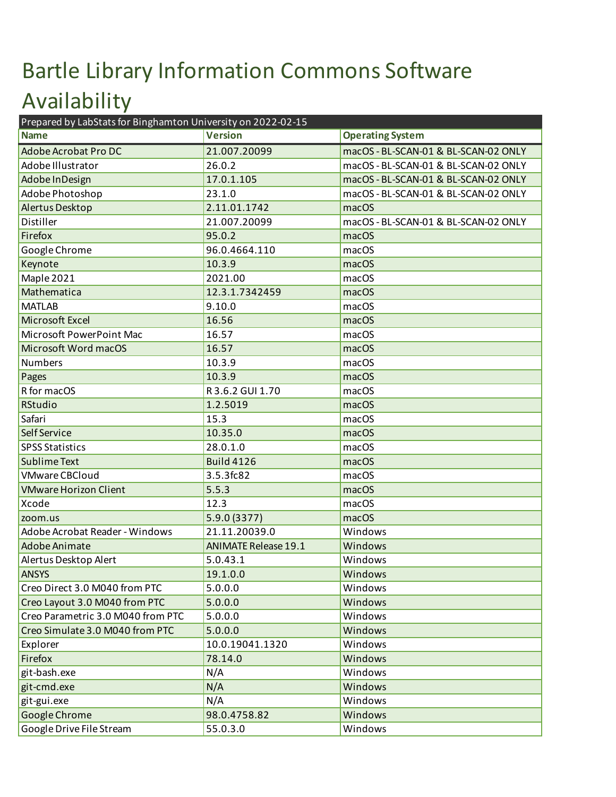## Bartle Library Information Commons Software Availability Prepared by LabStats for Binghamton University on 2022-02-15

| Prepared by LabStats for Binghamton University on 2022-02-15 |                             |                                      |  |
|--------------------------------------------------------------|-----------------------------|--------------------------------------|--|
| <b>Name</b>                                                  | <b>Version</b>              | <b>Operating System</b>              |  |
| Adobe Acrobat Pro DC                                         | 21.007.20099                | macOS - BL-SCAN-01 & BL-SCAN-02 ONLY |  |
| Adobe Illustrator                                            | 26.0.2                      | macOS - BL-SCAN-01 & BL-SCAN-02 ONLY |  |
| Adobe In Design                                              | 17.0.1.105                  | macOS - BL-SCAN-01 & BL-SCAN-02 ONLY |  |
| Adobe Photoshop                                              | 23.1.0                      | macOS - BL-SCAN-01 & BL-SCAN-02 ONLY |  |
| Alertus Desktop                                              | 2.11.01.1742                | macOS                                |  |
| Distiller                                                    | 21.007.20099                | macOS - BL-SCAN-01 & BL-SCAN-02 ONLY |  |
| Firefox                                                      | 95.0.2                      | macOS                                |  |
| Google Chrome                                                | 96.0.4664.110               | macOS                                |  |
| Keynote                                                      | 10.3.9                      | macOS                                |  |
| Maple 2021                                                   | 2021.00                     | macOS                                |  |
| Mathematica                                                  | 12.3.1.7342459              | macOS                                |  |
| <b>MATLAB</b>                                                | 9.10.0                      | macOS                                |  |
| Microsoft Excel                                              | 16.56                       | macOS                                |  |
| Microsoft PowerPoint Mac                                     | 16.57                       | macOS                                |  |
| Microsoft Word macOS                                         | 16.57                       | macOS                                |  |
| <b>Numbers</b>                                               | 10.3.9                      | macOS                                |  |
| Pages                                                        | 10.3.9                      | macOS                                |  |
| R for macOS                                                  | R3.6.2 GUI 1.70             | macOS                                |  |
| RStudio                                                      | 1.2.5019                    | macOS                                |  |
| Safari                                                       | 15.3                        | macOS                                |  |
| Self Service                                                 | 10.35.0                     | macOS                                |  |
| <b>SPSS Statistics</b>                                       | 28.0.1.0                    | macOS                                |  |
| <b>Sublime Text</b>                                          | <b>Build 4126</b>           | macOS                                |  |
| <b>VMware CBCloud</b>                                        | 3.5.3fc82                   | macOS                                |  |
| <b>VMware Horizon Client</b>                                 | 5.5.3                       | macOS                                |  |
| Xcode                                                        | 12.3                        | macOS                                |  |
| zoom.us                                                      | 5.9.0 (3377)                | macOS                                |  |
| Adobe Acrobat Reader - Windows                               | 21.11.20039.0               | Windows                              |  |
| Adobe Animate                                                | <b>ANIMATE Release 19.1</b> | Windows                              |  |
| Alertus Desktop Alert                                        | 5.0.43.1                    | Windows                              |  |
| <b>ANSYS</b>                                                 | 19.1.0.0                    | Windows                              |  |
| Creo Direct 3.0 M040 from PTC                                | 5.0.0.0                     | Windows                              |  |
| Creo Layout 3.0 M040 from PTC                                | 5.0.0.0                     | Windows                              |  |
| Creo Parametric 3.0 M040 from PTC                            | 5.0.0.0                     | Windows                              |  |
| Creo Simulate 3.0 M040 from PTC                              | 5.0.0.0                     | Windows                              |  |
| Explorer                                                     | 10.0.19041.1320             | Windows                              |  |
| Firefox                                                      | 78.14.0                     | Windows                              |  |
| git-bash.exe                                                 | N/A                         | Windows                              |  |
| git-cmd.exe                                                  | N/A                         | Windows                              |  |
| git-gui.exe                                                  | N/A                         | Windows                              |  |
| Google Chrome                                                | 98.0.4758.82                | Windows                              |  |
| Google Drive File Stream                                     | 55.0.3.0                    | Windows                              |  |